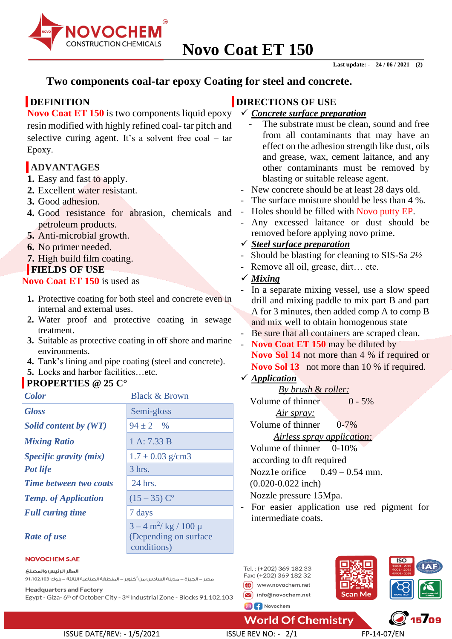

## **Two components coal-tar epoxy Coating for steel and concrete.**

## **DEFINITION**

**Novo Coat ET 150** is two components liquid epoxy resin modified with highly refined coal- tar pitch and selective curing agent. It's a solvent free coal – tar Epoxy.

## **ADVANTAGES**

- **1.** Easy and fast to apply.
- **2.** Excellent water resistant.
- **3.** Good adhesion.
- **4.** Good resistance for abrasion, chemicals and petroleum products.
- **5.** Anti-microbial growth.
- **6.** No primer needed.
- **7.** High build film coating.

## **FIELDS OF USE**

**Novo Coat ET 150** is used as

- **1.** Protective coating for both steel and concrete even in internal and external uses.
- **2.** Water proof and protective coating in sewage treatment.
- **3.** Suitable as protective coating in off shore and marine environments.
- **4.** Tank's lining and pipe coating (steel and concrete).
- **5.** Locks and harbor facilities…etc.

## **PROPERTIES @ 25 C°**

| <b>Color</b>                  | <b>Black &amp; Brown</b>                                                        |  |
|-------------------------------|---------------------------------------------------------------------------------|--|
| <b>Gloss</b>                  | Semi-gloss                                                                      |  |
| Solid content by (WT)         | $94 \pm 2$ %                                                                    |  |
| <b>Mixing Ratio</b>           | 1 A: 7.33 B                                                                     |  |
| <i>Specific gravity (mix)</i> | $1.7 \pm 0.03$ g/cm3                                                            |  |
| <b>Pot life</b>               | $3$ hrs.                                                                        |  |
| <b>Time between two coats</b> | 24 hrs.                                                                         |  |
| <b>Temp.</b> of Application   | $(15-35)$ C <sup>o</sup>                                                        |  |
| <b>Full curing time</b>       | 7 days                                                                          |  |
| <b>Rate of use</b>            | $3 - 4 \text{ m}^2/\text{ kg}$ / 100 µ<br>(Depending on surface)<br>conditions) |  |

## **DIRECTIONS OF USE**

- ✓ *Concrete surface preparation*
	- The substrate must be clean, sound and free from all contaminants that may have an effect on the adhesion strength like dust, oils and grease, wax, cement laitance, and any other contaminants must be removed by blasting or suitable release agent.
- New concrete should be at least 28 days old.
- The surface moisture should be less than 4 %.
- Holes should be filled with Novo putty EP.
- Any excessed laitance or dust should be removed before applying novo prime.

## ✓ *Steel surface preparation*

- Should be blasting for cleaning to SIS-Sa *2½*
- Remove all oil, grease, dirt... etc.

## ✓ *Mixing*

- In a separate mixing vessel, use a slow speed drill and mixing paddle to mix part B and part A for 3 minutes, then added comp A to comp B and mix well to obtain homogenous state
- Be sure that all containers are scraped clean.
- Novo Coat ET 150 may be diluted by **Novo Sol 14** not more than 4 % if required or **Novo Sol 13** not more than 10 % if required.
- ✓ *Application*

| <u>By brush &amp; roller:</u>                |
|----------------------------------------------|
| Volume of thinner<br>$0 - 5\%$               |
| <u>Air spray:</u>                            |
| Volume of thinner $0-7\%$                    |
| Airless spray application:                   |
| Volume of thinner $0-10\%$                   |
| according to dft required                    |
| Nozzle orifice $0.49 - 0.54$ mm.             |
| $(0.020 - 0.022$ inch)                       |
| Nozzle pressure 15Mpa.                       |
| - For easier application use red pigment for |

- For easier application use red pigment for intermediate coats.

### **NOVOCHEM S.AE**

المقر الرئيس والمصنع

مصر – الجيزة – مدينة السادس من أكتوبر – المنطقة الصناعية الثالثة – بلوك 1،102،103 91،102

**Headquarters and Factory** Egypt - Giza- 6<sup>th</sup> of October City - 3<sup>rd</sup> Industrial Zone - Blocks 91,102,103 Tel.: (+202) 369 182 33 Fax: (+202) 369 182 32 (1) www.novochem.net  $\boxed{\smash{\triangleright}}$  info@novochem.net O f Novochem



 $\sqrt{15/09}$ 

## **World Of Chemistry**

ISSUE DATE/REV: - 1/5/2021 ISSUE REV NO: - 2/1 FP-14-07/EN